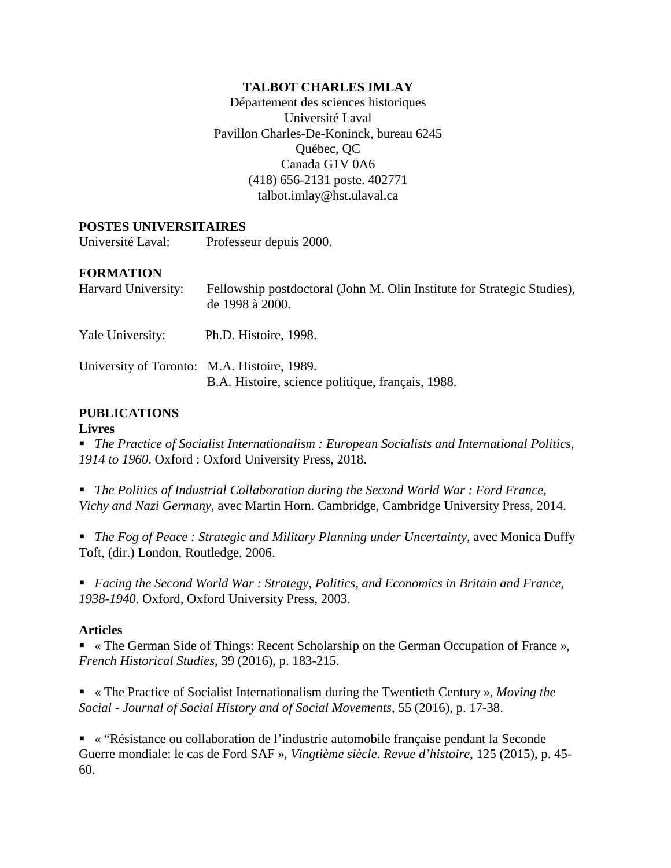## **TALBOT CHARLES IMLAY**

Département des sciences historiques Université Laval Pavillon Charles-De-Koninck, bureau 6245 Québec, QC Canada G1V 0A6 (418) 656-2131 poste. 402771 talbot.imlay@hst.ulaval.ca

### **POSTES UNIVERSITAIRES**

Université Laval: Professeur depuis 2000.

### **FORMATION**

| Harvard University:                         | Fellowship postdoctoral (John M. Olin Institute for Strategic Studies),<br>de 1998 à 2000. |
|---------------------------------------------|--------------------------------------------------------------------------------------------|
| Yale University:                            | Ph.D. Histoire, 1998.                                                                      |
| University of Toronto: M.A. Histoire, 1989. | B.A. Histoire, science politique, français, 1988.                                          |

## **PUBLICATIONS**

#### **Livres**

 *The Practice of Socialist Internationalism : European Socialists and International Politics, 1914 to 1960*. Oxford : Oxford University Press, 2018.

 *The Politics of Industrial Collaboration during the Second World War : Ford France, Vichy and Nazi Germany*, avec Martin Horn. Cambridge, Cambridge University Press, 2014.

 *The Fog of Peace : Strategic and Military Planning under Uncertainty*, avec Monica Duffy Toft, (dir.) London, Routledge, 2006.

 *Facing the Second World War : Strategy, Politics, and Economics in Britain and France, 1938-1940*. Oxford, Oxford University Press, 2003.

### **Articles**

 « The German Side of Things: Recent Scholarship on the German Occupation of France », *French Historical Studies*, 39 (2016), p. 183-215.

 « The Practice of Socialist Internationalism during the Twentieth Century », *Moving the Social - Journal of Social History and of Social Movements*, 55 (2016), p. 17-38.

 « "Résistance ou collaboration de l'industrie automobile française pendant la Seconde Guerre mondiale: le cas de Ford SAF », *Vingtième siècle. Revue d'histoire*, 125 (2015), p. 45- 60.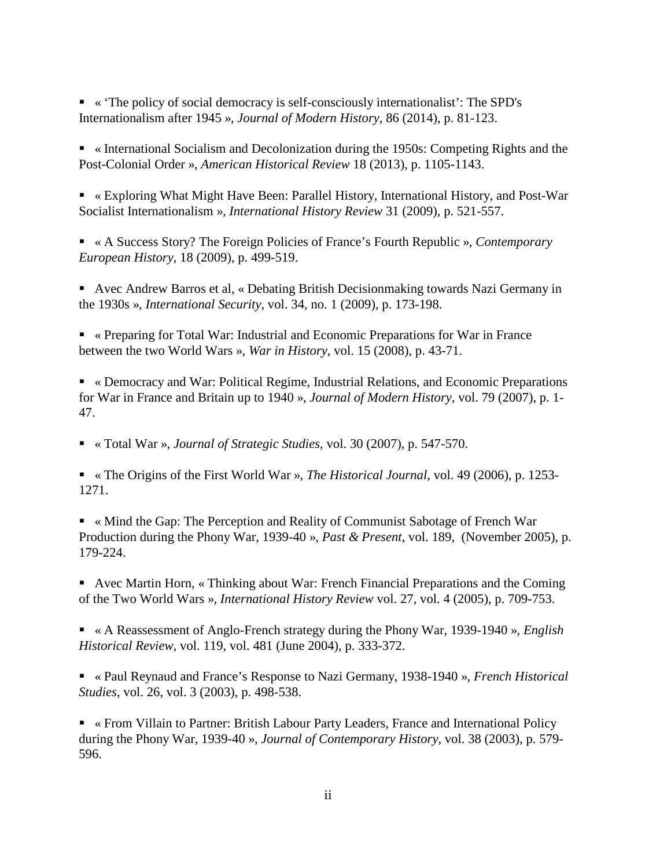« 'The policy of social democracy is self-consciously internationalist': The SPD's Internationalism after 1945 », *Journal of Modern History*, 86 (2014), p. 81-123.

 « International Socialism and Decolonization during the 1950s: Competing Rights and the Post-Colonial Order », *American Historical Review* 18 (2013), p. 1105-1143.

 « Exploring What Might Have Been: Parallel History, International History, and Post-War Socialist Internationalism », *International History Review* 31 (2009), p. 521-557.

 « A Success Story? The Foreign Policies of France's Fourth Republic », *Contemporary European History*, 18 (2009), p. 499-519.

 Avec Andrew Barros et al, « Debating British Decisionmaking towards Nazi Germany in the 1930s », *International Security*, vol. 34, no. 1 (2009), p. 173-198.

 « Preparing for Total War: Industrial and Economic Preparations for War in France between the two World Wars », *War in History*, vol. 15 (2008), p. 43-71.

 « Democracy and War: Political Regime, Industrial Relations, and Economic Preparations for War in France and Britain up to 1940 », *Journal of Modern History*, vol. 79 (2007), p. 1- 47.

« Total War », *Journal of Strategic Studies*, vol. 30 (2007), p. 547-570.

 « The Origins of the First World War », *The Historical Journal*, vol. 49 (2006), p. 1253- 1271.

 « Mind the Gap: The Perception and Reality of Communist Sabotage of French War Production during the Phony War, 1939-40 », *Past & Present*, vol. 189, (November 2005), p. 179-224.

 Avec Martin Horn, « Thinking about War: French Financial Preparations and the Coming of the Two World Wars », *International History Review* vol. 27, vol. 4 (2005), p. 709-753.

 « A Reassessment of Anglo-French strategy during the Phony War, 1939-1940 », *English Historical Review*, vol. 119, vol. 481 (June 2004), p. 333-372.

 « Paul Reynaud and France's Response to Nazi Germany, 1938-1940 », *French Historical Studies*, vol. 26, vol. 3 (2003), p. 498-538.

 « From Villain to Partner: British Labour Party Leaders, France and International Policy during the Phony War, 1939-40 », *Journal of Contemporary History*, vol. 38 (2003), p. 579- 596.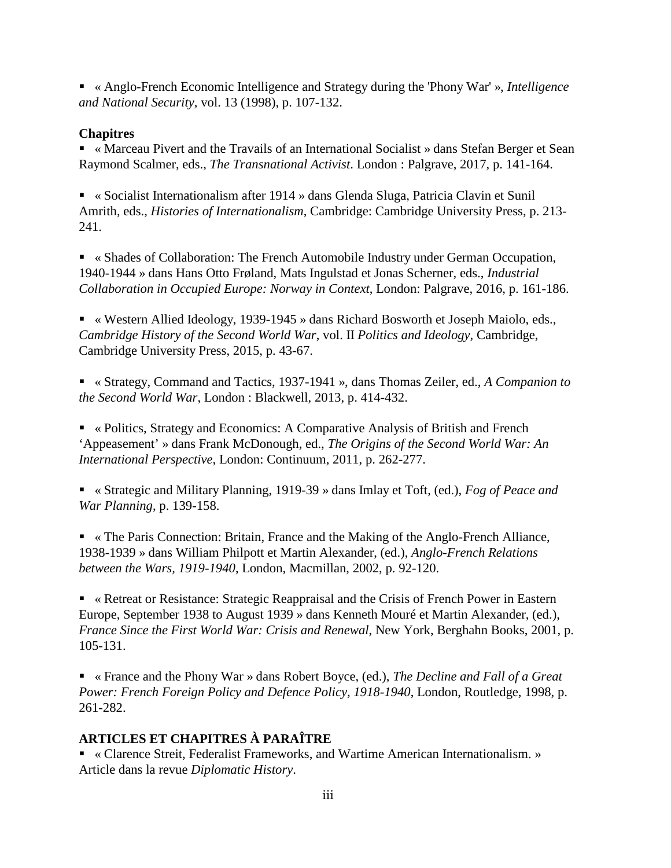« Anglo-French Economic Intelligence and Strategy during the 'Phony War' », *Intelligence and National Security*, vol. 13 (1998), p. 107-132.

# **Chapitres**

 « Marceau Pivert and the Travails of an International Socialist » dans Stefan Berger et Sean Raymond Scalmer, eds., *The Transnational Activist*. London : Palgrave, 2017, p. 141-164.

 « Socialist Internationalism after 1914 » dans Glenda Sluga, Patricia Clavin et Sunil Amrith, eds., *Histories of Internationalism*, Cambridge: Cambridge University Press, p. 213- 241.

 « Shades of Collaboration: The French Automobile Industry under German Occupation, 1940-1944 » dans Hans Otto Frøland, Mats Ingulstad et Jonas Scherner, eds., *Industrial Collaboration in Occupied Europe: Norway in Context*, London: Palgrave, 2016, p. 161-186.

 « Western Allied Ideology, 1939-1945 » dans Richard Bosworth et Joseph Maiolo, eds., *Cambridge History of the Second World War*, vol. II *Politics and Ideology*, Cambridge, Cambridge University Press, 2015, p. 43-67.

 « Strategy, Command and Tactics, 1937-1941 », dans Thomas Zeiler, ed., *A Companion to the Second World War*, London : Blackwell, 2013, p. 414-432.

 « Politics, Strategy and Economics: A Comparative Analysis of British and French 'Appeasement' » dans Frank McDonough, ed., *The Origins of the Second World War: An International Perspective*, London: Continuum, 2011, p. 262-277.

 « Strategic and Military Planning, 1919-39 » dans Imlay et Toft, (ed.), *Fog of Peace and War Planning*, p. 139-158.

 « The Paris Connection: Britain, France and the Making of the Anglo-French Alliance, 1938-1939 » dans William Philpott et Martin Alexander, (ed.), *Anglo-French Relations between the Wars, 1919-1940*, London, Macmillan, 2002, p. 92-120.

 « Retreat or Resistance: Strategic Reappraisal and the Crisis of French Power in Eastern Europe, September 1938 to August 1939 » dans Kenneth Mouré et Martin Alexander, (ed.), *France Since the First World War: Crisis and Renewal*, New York, Berghahn Books, 2001, p. 105-131.

 « France and the Phony War » dans Robert Boyce, (ed.), *The Decline and Fall of a Great Power: French Foreign Policy and Defence Policy, 1918-1940*, London, Routledge, 1998, p. 261-282.

# **ARTICLES ET CHAPITRES À PARAÎTRE**

 « Clarence Streit, Federalist Frameworks, and Wartime American Internationalism. » Article dans la revue *Diplomatic History*.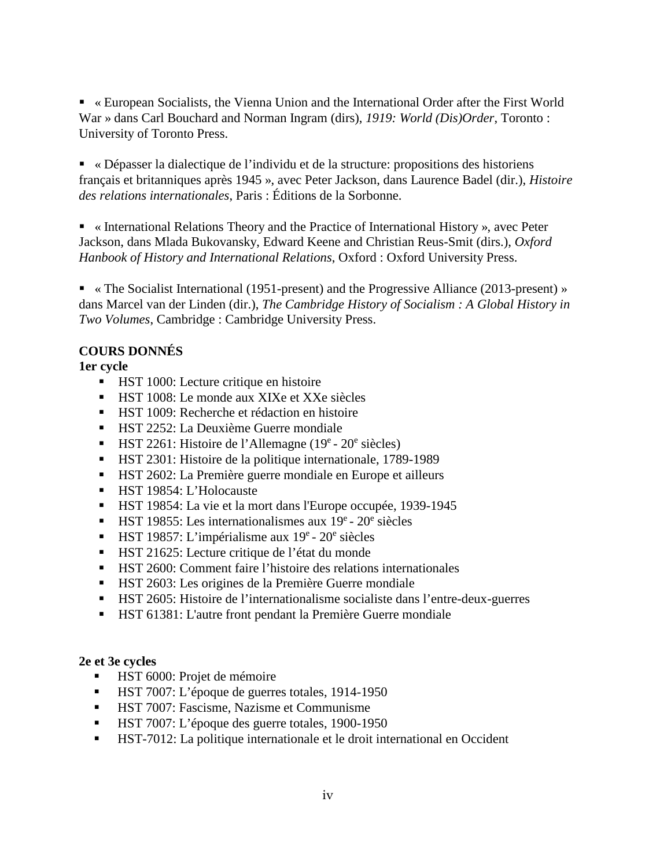« European Socialists, the Vienna Union and the International Order after the First World War » dans Carl Bouchard and Norman Ingram (dirs), *1919: World (Dis)Order*, Toronto : University of Toronto Press.

 « Dépasser la dialectique de l'individu et de la structure: propositions des historiens français et britanniques après 1945 », avec Peter Jackson, dans Laurence Badel (dir.), *Histoire des relations internationales*, Paris : Éditions de la Sorbonne.

 « International Relations Theory and the Practice of International History », avec Peter Jackson, dans Mlada Bukovansky, Edward Keene and Christian Reus-Smit (dirs.), *Oxford Hanbook of History and International Relations*, Oxford : Oxford University Press.

• « The Socialist International (1951-present) and the Progressive Alliance (2013-present) » dans Marcel van der Linden (dir.), *The Cambridge History of Socialism : A Global History in Two Volumes*, Cambridge : Cambridge University Press.

## **COURS DONNÉS**

## **1er cycle**

- **HST 1000:** Lecture critique en histoire
- HST 1008: Le monde aux XIXe et XXe siècles
- **HST 1009: Recherche et rédaction en histoire**
- **HST 2252: La Deuxième Guerre mondiale**
- $\blacksquare$  HST 2261: Histoire de l'Allemagne (19<sup>e</sup> 20<sup>e</sup> siècles)
- HST 2301: Histoire de la politique internationale, 1789-1989
- HST 2602: La Première guerre mondiale en Europe et ailleurs
- HST 19854: L'Holocauste
- HST 19854: La vie et la mort dans l'Europe occupée, 1939-1945
- $\blacksquare$  HST 19855: Les internationalismes aux 19<sup>e</sup> 20<sup>e</sup> siècles
- $\blacksquare$  HST 19857: L'impérialisme aux 19<sup>e</sup> 20<sup>e</sup> siècles
- HST 21625: Lecture critique de l'état du monde
- HST 2600: Comment faire l'histoire des relations internationales
- HST 2603: Les origines de la Première Guerre mondiale
- HST 2605: Histoire de l'internationalisme socialiste dans l'entre-deux-guerres
- HST 61381: L'autre front pendant la Première Guerre mondiale

## **2e et 3e cycles**

- HST 6000: Projet de mémoire
- HST 7007: L'époque de guerres totales, 1914-1950
- **HST 7007: Fascisme, Nazisme et Communisme**
- **HST 7007: L'époque des guerre totales, 1900-1950**
- HST-7012: La politique internationale et le droit international en Occident